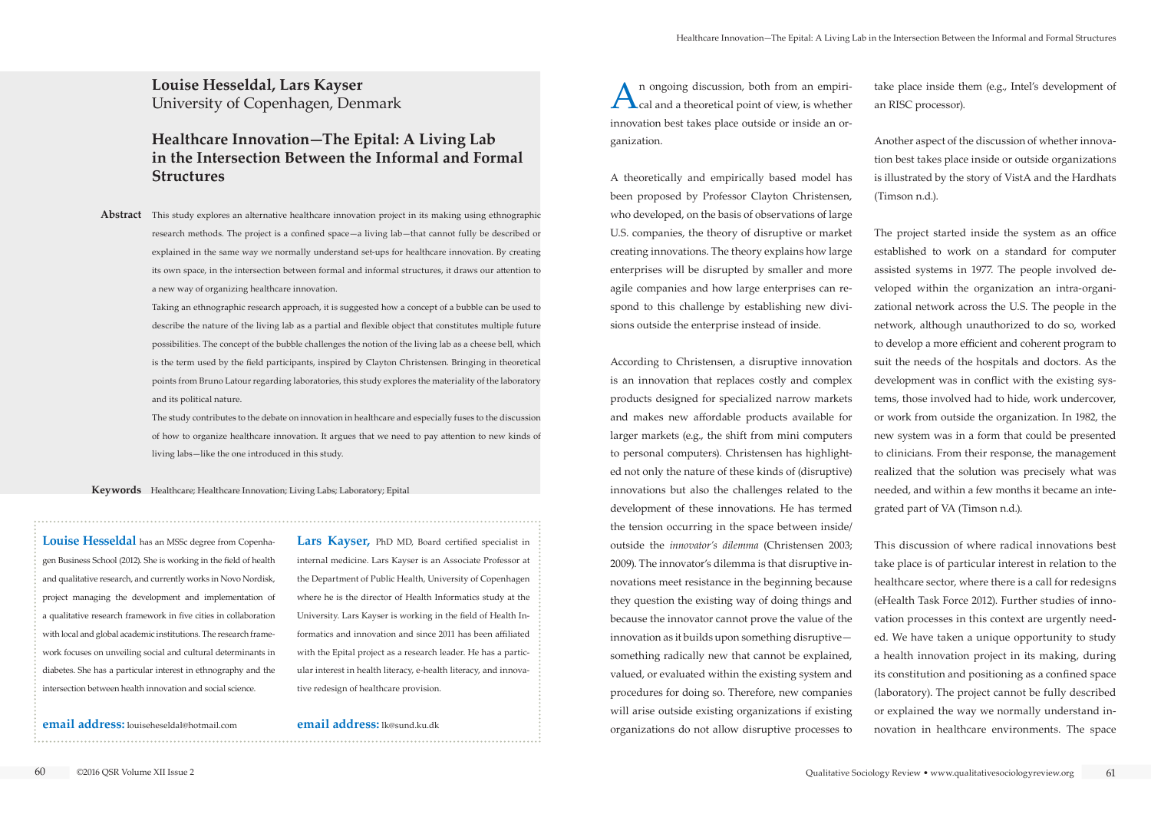**Louise Hesseldal, Lars Kayser** University of Copenhagen, Denmark

# **Healthcare Innovation—The Epital: A Living Lab in the Intersection Between the Informal and Formal Structures**

Abstract This study explores an alternative healthcare innovation project in its making using ethnographic research methods. The project is a confined space—a living lab—that cannot fully be described or explained in the same way we normally understand set-ups for healthcare innovation. By creating its own space, in the intersection between formal and informal structures, it draws our attention to a new way of organizing healthcare innovation.

**Keywords** Healthcare; Healthcare Innovation; Living Labs; Laboratory; Epital

Taking an ethnographic research approach, it is suggested how a concept of a bubble can be used to describe the nature of the living lab as a partial and flexible object that constitutes multiple future possibilities. The concept of the bubble challenges the notion of the living lab as a cheese bell, which is the term used by the field participants, inspired by Clayton Christensen. Bringing in theoretical points from Bruno Latour regarding laboratories, this study explores the materiality of the laboratory and its political nature.

The study contributes to the debate on innovation in healthcare and especially fuses to the discussion of how to organize healthcare innovation. It argues that we need to pay attention to new kinds of living labs—like the one introduced in this study.

An ongoing discussion, both from an empiri-<br>cal and a theoretical point of view, is whether innovation best takes place outside or inside an organization.

**Louise Hesseldal** has an MSSc degree from Copenhagen Business School (2012). She is working in the field of health and qualitative research, and currently works in Novo Nordisk, project managing the development and implementation of a qualitative research framework in five cities in collaboration with local and global academic institutions. The research framework focuses on unveiling social and cultural determinants in diabetes. She has a particular interest in ethnography and the intersection between health innovation and social science.

**email address:** louiseheseldal@hotmail.com

**Lars Kayser,** PhD MD, Board certified specialist in internal medicine. Lars Kayser is an Associate Professor at the Department of Public Health, University of Copenhagen where he is the director of Health Informatics study at the University. Lars Kayser is working in the field of Health Informatics and innovation and since 2011 has been affiliated with the Epital project as a research leader. He has a particular interest in health literacy, e-health literacy, and innovative redesign of healthcare provision.

**email address:** lk@sund.ku.dk

A theoretically and empirically based model has been proposed by Professor Clayton Christensen, who developed, on the basis of observations of large U.S. companies, the theory of disruptive or market creating innovations. The theory explains how large enterprises will be disrupted by smaller and more agile companies and how large enterprises can respond to this challenge by establishing new divisions outside the enterprise instead of inside.

According to Christensen, a disruptive innovation is an innovation that replaces costly and complex products designed for specialized narrow markets and makes new affordable products available for larger markets (e.g., the shift from mini computers to personal computers). Christensen has highlighted not only the nature of these kinds of (disruptive) innovations but also the challenges related to the development of these innovations. He has termed the tension occurring in the space between inside/ outside the *innovator's dilemma* (Christensen 2003; 2009). The innovator's dilemma is that disruptive innovations meet resistance in the beginning because they question the existing way of doing things and because the innovator cannot prove the value of the innovation as it builds upon something disruptive something radically new that cannot be explained, valued, or evaluated within the existing system and procedures for doing so. Therefore, new companies will arise outside existing organizations if existing organizations do not allow disruptive processes to

- take place inside them (e.g., Intel's development of an RISC processor).
- Another aspect of the discussion of whether innovation best takes place inside or outside organizations is illustrated by the story of VistA and the Hardhats (Timson n.d.).
- The project started inside the system as an office established to work on a standard for computer assisted systems in 1977. The people involved developed within the organization an intra-organizational network across the U.S. The people in the network, although unauthorized to do so, worked to develop a more efficient and coherent program to suit the needs of the hospitals and doctors. As the development was in conflict with the existing systems, those involved had to hide, work undercover, or work from outside the organization. In 1982, the new system was in a form that could be presented to clinicians. From their response, the management realized that the solution was precisely what was needed, and within a few months it became an integrated part of VA (Timson n.d.).
- This discussion of where radical innovations best take place is of particular interest in relation to the healthcare sector, where there is a call for redesigns (eHealth Task Force 2012). Further studies of innovation processes in this context are urgently needed. We have taken a unique opportunity to study a health innovation project in its making, during its constitution and positioning as a confined space (laboratory). The project cannot be fully described or explained the way we normally understand innovation in healthcare environments. The space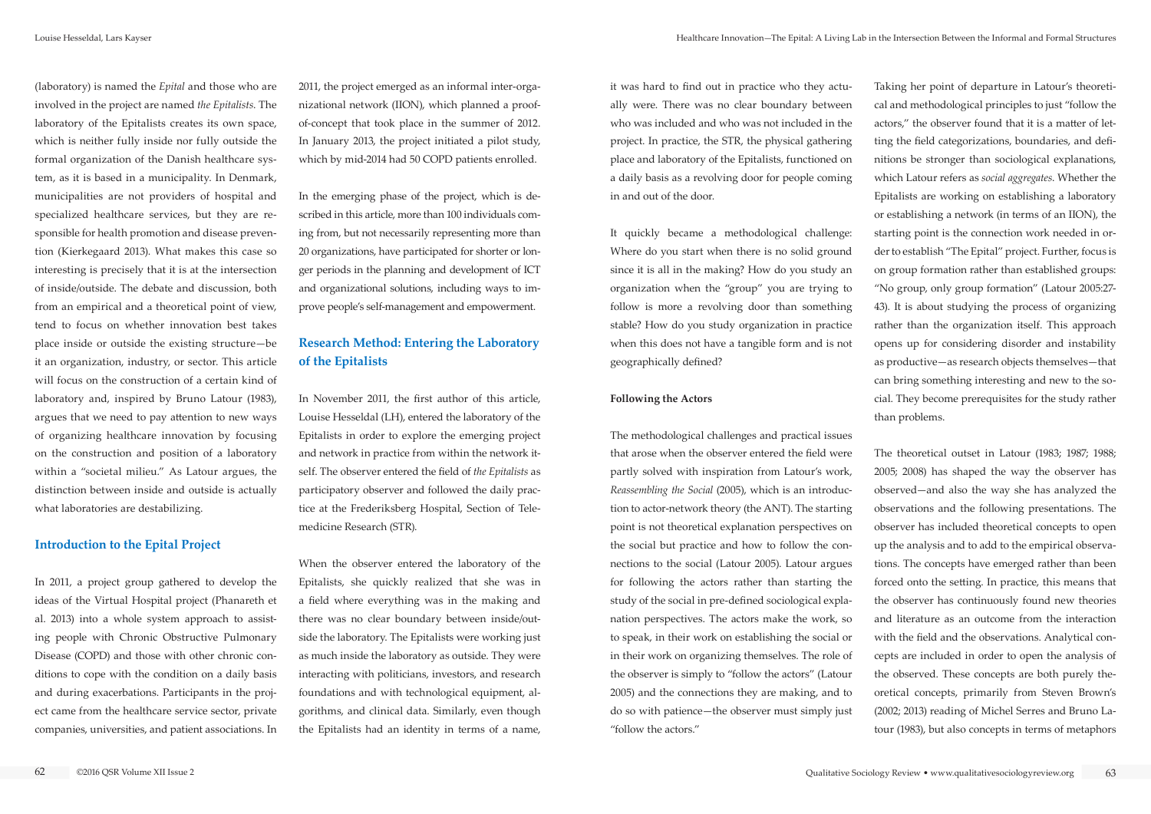(laboratory) is named the *Epital* and those who are involved in the project are named *the Epitalists*. The laboratory of the Epitalists creates its own space, which is neither fully inside nor fully outside the formal organization of the Danish healthcare system, as it is based in a municipality. In Denmark, municipalities are not providers of hospital and specialized healthcare services, but they are responsible for health promotion and disease prevention (Kierkegaard 2013). What makes this case so interesting is precisely that it is at the intersection of inside/outside. The debate and discussion, both from an empirical and a theoretical point of view, tend to focus on whether innovation best takes place inside or outside the existing structure—be it an organization, industry, or sector. This article will focus on the construction of a certain kind of laboratory and, inspired by Bruno Latour (1983), argues that we need to pay attention to new ways of organizing healthcare innovation by focusing on the construction and position of a laboratory within a "societal milieu." As Latour argues, the distinction between inside and outside is actually what laboratories are destabilizing.

#### **Introduction to the Epital Project**

In 2011, a project group gathered to develop the ideas of the Virtual Hospital project (Phanareth et al. 2013) into a whole system approach to assisting people with Chronic Obstructive Pulmonary Disease (COPD) and those with other chronic conditions to cope with the condition on a daily basis and during exacerbations. Participants in the project came from the healthcare service sector, private companies, universities, and patient associations. In 2011, the project emerged as an informal inter-organizational network (IION), which planned a proofof-concept that took place in the summer of 2012. In January 2013, the project initiated a pilot study, which by mid-2014 had 50 COPD patients enrolled.

In the emerging phase of the project, which is described in this article, more than 100 individuals coming from, but not necessarily representing more than 20 organizations, have participated for shorter or longer periods in the planning and development of ICT and organizational solutions, including ways to improve people's self-management and empowerment.

# **Research Method: Entering the Laboratory of the Epitalists**

In November 2011, the first author of this article, Louise Hesseldal (LH), entered the laboratory of the Epitalists in order to explore the emerging project and network in practice from within the network itself. The observer entered the field of *the Epitalists* as participatory observer and followed the daily practice at the Frederiksberg Hospital, Section of Telemedicine Research (STR).

When the observer entered the laboratory of the Epitalists, she quickly realized that she was in a field where everything was in the making and there was no clear boundary between inside/outside the laboratory. The Epitalists were working just as much inside the laboratory as outside. They were interacting with politicians, investors, and research foundations and with technological equipment, algorithms, and clinical data. Similarly, even though the Epitalists had an identity in terms of a name,

it was hard to find out in practice who they actually were. There was no clear boundary between who was included and who was not included in the project. In practice, the STR, the physical gathering place and laboratory of the Epitalists, functioned on a daily basis as a revolving door for people coming in and out of the door.

It quickly became a methodological challenge: Where do you start when there is no solid ground since it is all in the making? How do you study an organization when the "group" you are trying to follow is more a revolving door than something stable? How do you study organization in practice when this does not have a tangible form and is not geographically defined?

#### **Following the Actors**

The methodological challenges and practical issues that arose when the observer entered the field were partly solved with inspiration from Latour's work, *Reassembling the Social* (2005), which is an introduction to actor-network theory (the ANT). The starting point is not theoretical explanation perspectives on the social but practice and how to follow the connections to the social (Latour 2005). Latour argues for following the actors rather than starting the study of the social in pre-defined sociological explanation perspectives. The actors make the work, so to speak, in their work on establishing the social or in their work on organizing themselves. The role of the observer is simply to "follow the actors" (Latour 2005) and the connections they are making, and to do so with patience—the observer must simply just "follow the actors."

Taking her point of departure in Latour's theoretical and methodological principles to just "follow the actors," the observer found that it is a matter of letting the field categorizations, boundaries, and definitions be stronger than sociological explanations, which Latour refers as *social aggregates*. Whether the Epitalists are working on establishing a laboratory or establishing a network (in terms of an IION), the starting point is the connection work needed in order to establish "The Epital" project. Further, focus is on group formation rather than established groups: "No group, only group formation" (Latour 2005:27- 43). It is about studying the process of organizing rather than the organization itself. This approach opens up for considering disorder and instability as productive—as research objects themselves—that can bring something interesting and new to the social. They become prerequisites for the study rather than problems.

The theoretical outset in Latour (1983; 1987; 1988; 2005; 2008) has shaped the way the observer has observed—and also the way she has analyzed the observations and the following presentations. The observer has included theoretical concepts to open up the analysis and to add to the empirical observations. The concepts have emerged rather than been forced onto the setting. In practice, this means that the observer has continuously found new theories and literature as an outcome from the interaction with the field and the observations. Analytical concepts are included in order to open the analysis of the observed. These concepts are both purely theoretical concepts, primarily from Steven Brown's (2002; 2013) reading of Michel Serres and Bruno Latour (1983), but also concepts in terms of metaphors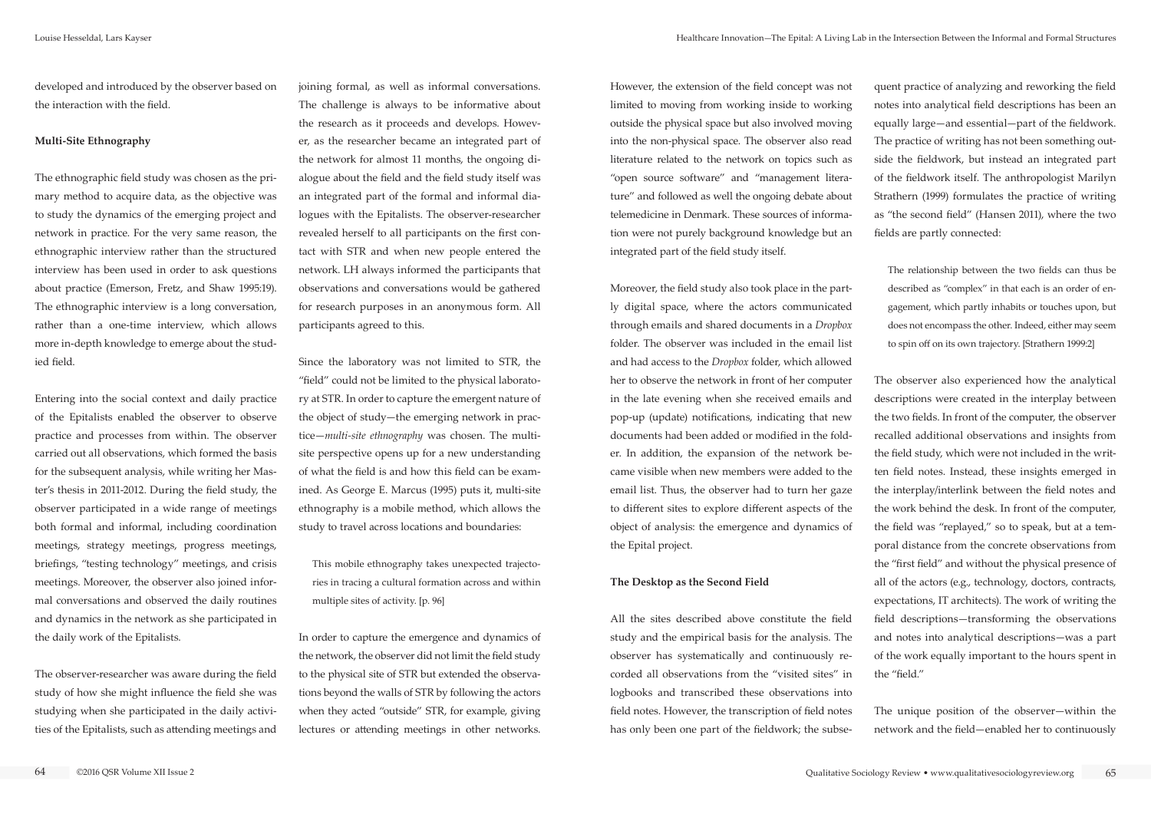developed and introduced by the observer based on the interaction with the field.

#### **Multi-Site Ethnography**

The ethnographic field study was chosen as the primary method to acquire data, as the objective was to study the dynamics of the emerging project and network in practice. For the very same reason, the ethnographic interview rather than the structured interview has been used in order to ask questions about practice (Emerson, Fretz, and Shaw 1995:19). The ethnographic interview is a long conversation, rather than a one-time interview, which allows more in-depth knowledge to emerge about the studied field.

Entering into the social context and daily practice of the Epitalists enabled the observer to observe practice and processes from within. The observer carried out all observations, which formed the basis for the subsequent analysis, while writing her Master's thesis in 2011-2012. During the field study, the observer participated in a wide range of meetings both formal and informal, including coordination meetings, strategy meetings, progress meetings, briefings, "testing technology" meetings, and crisis meetings. Moreover, the observer also joined informal conversations and observed the daily routines and dynamics in the network as she participated in the daily work of the Epitalists.

The observer-researcher was aware during the field study of how she might influence the field she was studying when she participated in the daily activities of the Epitalists, such as attending meetings and joining formal, as well as informal conversations. The challenge is always to be informative about the research as it proceeds and develops. However, as the researcher became an integrated part of the network for almost 11 months, the ongoing dialogue about the field and the field study itself was an integrated part of the formal and informal dialogues with the Epitalists. The observer-researcher revealed herself to all participants on the first contact with STR and when new people entered the network. LH always informed the participants that observations and conversations would be gathered for research purposes in an anonymous form. All participants agreed to this.

Since the laboratory was not limited to STR, the "field" could not be limited to the physical laboratory at STR. In order to capture the emergent nature of the object of study—the emerging network in practice—*multi-site ethnography* was chosen. The multisite perspective opens up for a new understanding of what the field is and how this field can be examined. As George E. Marcus (1995) puts it, multi-site ethnography is a mobile method, which allows the study to travel across locations and boundaries:

This mobile ethnography takes unexpected trajectories in tracing a cultural formation across and within multiple sites of activity. [p. 96]

In order to capture the emergence and dynamics of the network, the observer did not limit the field study to the physical site of STR but extended the observations beyond the walls of STR by following the actors when they acted "outside" STR, for example, giving lectures or attending meetings in other networks.

However, the extension of the field concept was not limited to moving from working inside to working outside the physical space but also involved moving into the non-physical space. The observer also read literature related to the network on topics such as "open source software" and "management literature" and followed as well the ongoing debate about telemedicine in Denmark. These sources of information were not purely background knowledge but an integrated part of the field study itself.

Moreover, the field study also took place in the partly digital space, where the actors communicated through emails and shared documents in a *Dropbox*  folder. The observer was included in the email list and had access to the *Dropbox* folder, which allowed her to observe the network in front of her computer in the late evening when she received emails and pop-up (update) notifications, indicating that new documents had been added or modified in the folder. In addition, the expansion of the network became visible when new members were added to the email list. Thus, the observer had to turn her gaze to different sites to explore different aspects of the object of analysis: the emergence and dynamics of the Epital project.

#### **The Desktop as the Second Field**

All the sites described above constitute the field study and the empirical basis for the analysis. The observer has systematically and continuously recorded all observations from the "visited sites" in logbooks and transcribed these observations into field notes. However, the transcription of field notes has only been one part of the fieldwork; the subse-

quent practice of analyzing and reworking the field notes into analytical field descriptions has been an equally large—and essential—part of the fieldwork. The practice of writing has not been something outside the fieldwork, but instead an integrated part of the fieldwork itself. The anthropologist Marilyn Strathern (1999) formulates the practice of writing as "the second field" (Hansen 2011), where the two fields are partly connected:

The relationship between the two fields can thus be described as "complex" in that each is an order of engagement, which partly inhabits or touches upon, but does not encompass the other. Indeed, either may seem to spin off on its own trajectory. [Strathern 1999:2]

The observer also experienced how the analytical descriptions were created in the interplay between the two fields. In front of the computer, the observer recalled additional observations and insights from the field study, which were not included in the written field notes. Instead, these insights emerged in the interplay/interlink between the field notes and the work behind the desk. In front of the computer, the field was "replayed," so to speak, but at a temporal distance from the concrete observations from the "first field" and without the physical presence of all of the actors (e.g., technology, doctors, contracts, expectations, IT architects). The work of writing the field descriptions—transforming the observations and notes into analytical descriptions—was a part of the work equally important to the hours spent in the "field."

The unique position of the observer—within the network and the field—enabled her to continuously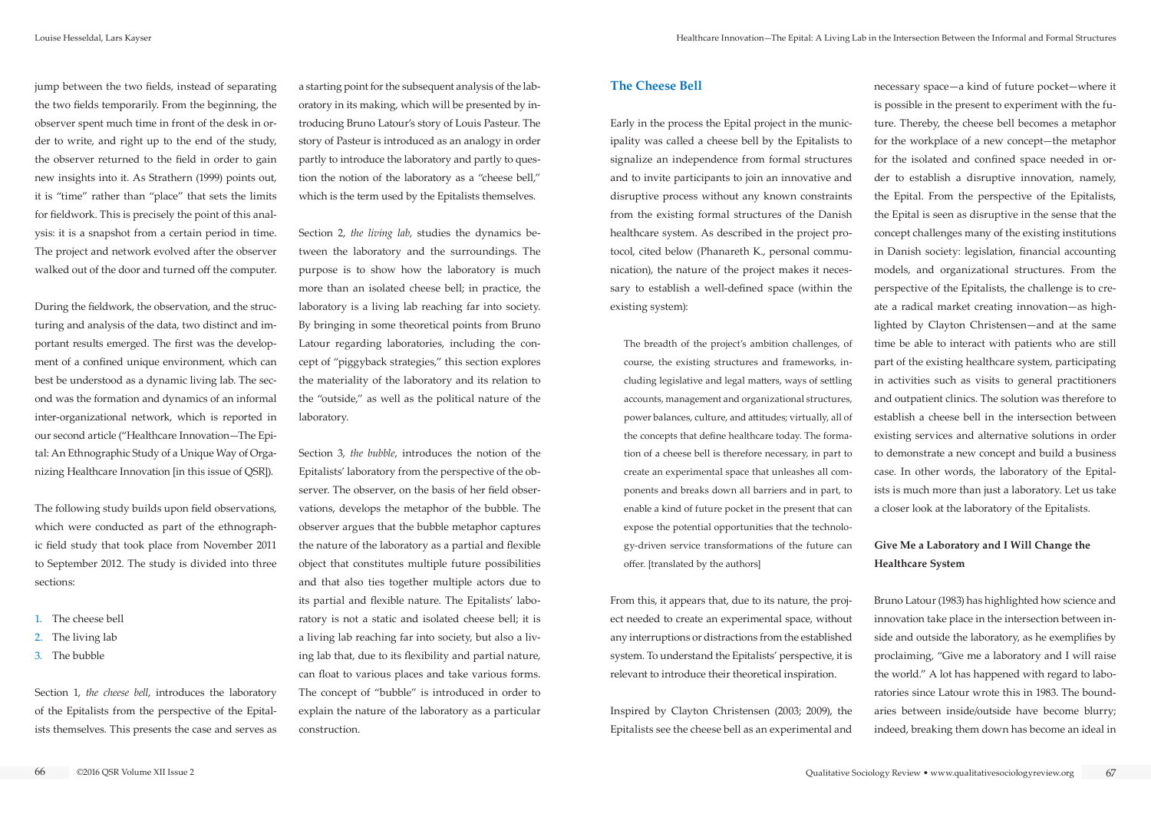jump between the two fields, instead of separating the two fields temporarily. From the beginning, the observer spent much time in front of the desk in order to write, and right up to the end of the study, the observer returned to the field in order to gain new insights into it. As Strathern (1999) points out, it is "time" rather than "place" that sets the limits for fieldwork. This is precisely the point of this analysis: it is a snapshot from a certain period in time. The project and network evolved after the observer walked out of the door and turned off the computer.

During the fieldwork, the observation, and the structuring and analysis of the data, two distinct and important results emerged. The first was the development of a confined unique environment, which can best be understood as a dynamic living lab. The second was the formation and dynamics of an informal inter-organizational network, which is reported in our second article ("Healthcare Innovation—The Epital: An Ethnographic Study of a Unique Way of Organizing Healthcare Innovation [in this issue of QSR]).

The following study builds upon field observations, which were conducted as part of the ethnographic field study that took place from November 2011 to September 2012. The study is divided into three sections:

- 1. The cheese bell
- 2. The living lab
- 3. The bubble

Section 1, *the cheese bell*, introduces the laboratory of the Epitalists from the perspective of the Epitalists themselves. This presents the case and serves as a starting point for the subsequent analysis of the laboratory in its making, which will be presented by introducing Bruno Latour's story of Louis Pasteur. The story of Pasteur is introduced as an analogy in order partly to introduce the laboratory and partly to question the notion of the laboratory as a "cheese bell," which is the term used by the Epitalists themselves.

Section 2, *the living lab*, studies the dynamics between the laboratory and the surroundings. The purpose is to show how the laboratory is much more than an isolated cheese bell; in practice, the laboratory is a living lab reaching far into society. By bringing in some theoretical points from Bruno Latour regarding laboratories, including the concept of "piggyback strategies," this section explores the materiality of the laboratory and its relation to the "outside," as well as the political nature of the laboratory.

Section 3, *the bubble*, introduces the notion of the Epitalists' laboratory from the perspective of the observer. The observer, on the basis of her field observations, develops the metaphor of the bubble. The observer argues that the bubble metaphor captures the nature of the laboratory as a partial and flexible object that constitutes multiple future possibilities and that also ties together multiple actors due to its partial and flexible nature. The Epitalists' laboratory is not a static and isolated cheese bell; it is a living lab reaching far into society, but also a living lab that, due to its flexibility and partial nature, can float to various places and take various forms. The concept of "bubble" is introduced in order to explain the nature of the laboratory as a particular construction.

#### **The Cheese Bell**

Early in the process the Epital project in the municipality was called a cheese bell by the Epitalists to signalize an independence from formal structures and to invite participants to join an innovative and disruptive process without any known constraints from the existing formal structures of the Danish healthcare system. As described in the project protocol, cited below (Phanareth K., personal communication), the nature of the project makes it necessary to establish a well-defined space (within the existing system):

The breadth of the project's ambition challenges, of course, the existing structures and frameworks, including legislative and legal matters, ways of settling accounts, management and organizational structures, power balances, culture, and attitudes; virtually, all of the concepts that define healthcare today. The formation of a cheese bell is therefore necessary, in part to create an experimental space that unleashes all components and breaks down all barriers and in part, to enable a kind of future pocket in the present that can expose the potential opportunities that the technology-driven service transformations of the future can offer. [translated by the authors]

From this, it appears that, due to its nature, the project needed to create an experimental space, without any interruptions or distractions from the established system. To understand the Epitalists' perspective, it is relevant to introduce their theoretical inspiration.

Inspired by Clayton Christensen (2003; 2009), the Epitalists see the cheese bell as an experimental and

necessary space—a kind of future pocket—where it is possible in the present to experiment with the future. Thereby, the cheese bell becomes a metaphor for the workplace of a new concept—the metaphor for the isolated and confined space needed in order to establish a disruptive innovation, namely, the Epital. From the perspective of the Epitalists, the Epital is seen as disruptive in the sense that the concept challenges many of the existing institutions in Danish society: legislation, financial accounting models, and organizational structures. From the perspective of the Epitalists, the challenge is to create a radical market creating innovation—as highlighted by Clayton Christensen—and at the same time be able to interact with patients who are still part of the existing healthcare system, participating in activities such as visits to general practitioners and outpatient clinics. The solution was therefore to establish a cheese bell in the intersection between existing services and alternative solutions in order to demonstrate a new concept and build a business case. In other words, the laboratory of the Epitalists is much more than just a laboratory. Let us take a closer look at the laboratory of the Epitalists.

## **Give Me a Laboratory and I Will Change the Healthcare System**

Bruno Latour (1983) has highlighted how science and innovation take place in the intersection between inside and outside the laboratory, as he exemplifies by proclaiming, "Give me a laboratory and I will raise the world." A lot has happened with regard to laboratories since Latour wrote this in 1983. The boundaries between inside/outside have become blurry; indeed, breaking them down has become an ideal in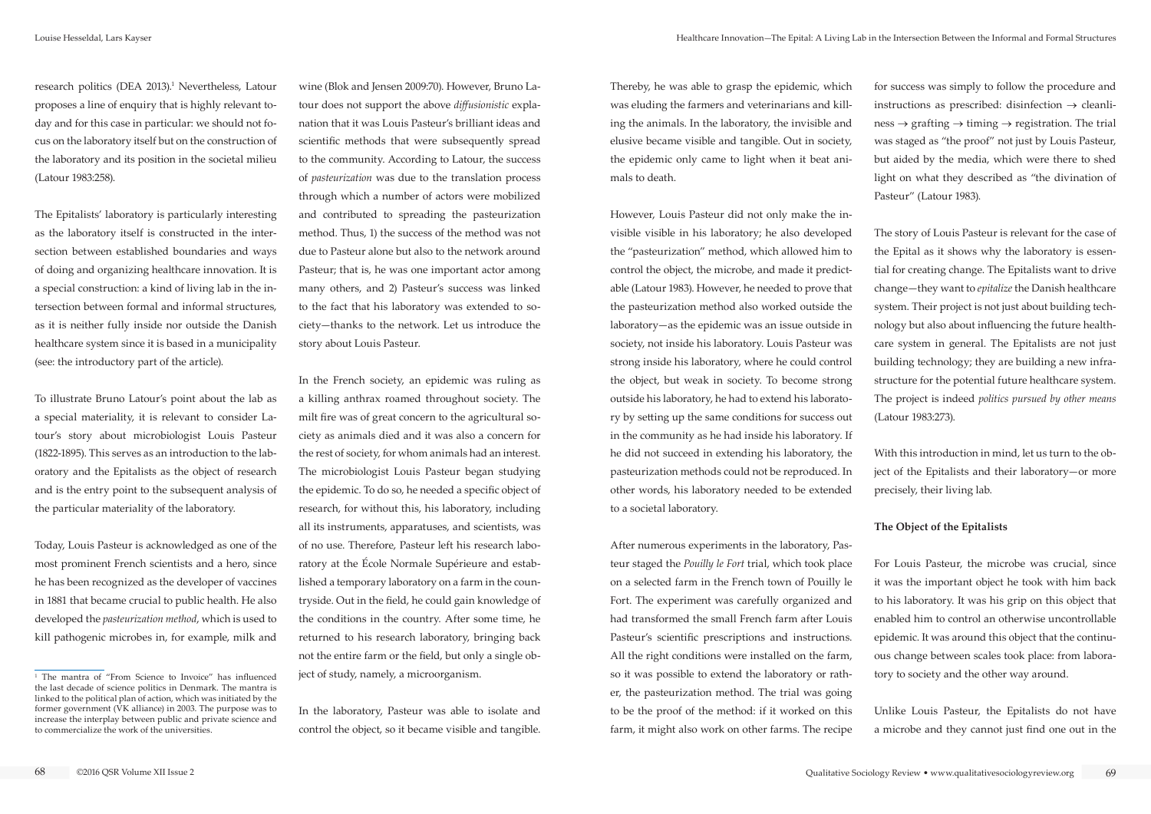research politics (DEA 2013).<sup>1</sup> Nevertheless, Latour proposes a line of enquiry that is highly relevant today and for this case in particular: we should not focus on the laboratory itself but on the construction of the laboratory and its position in the societal milieu (Latour 1983:258).

The Epitalists' laboratory is particularly interesting as the laboratory itself is constructed in the intersection between established boundaries and ways of doing and organizing healthcare innovation. It is a special construction: a kind of living lab in the intersection between formal and informal structures, as it is neither fully inside nor outside the Danish healthcare system since it is based in a municipality (see: the introductory part of the article).

To illustrate Bruno Latour's point about the lab as a special materiality, it is relevant to consider Latour's story about microbiologist Louis Pasteur (1822-1895). This serves as an introduction to the laboratory and the Epitalists as the object of research and is the entry point to the subsequent analysis of the particular materiality of the laboratory.

Today, Louis Pasteur is acknowledged as one of the most prominent French scientists and a hero, since he has been recognized as the developer of vaccines in 1881 that became crucial to public health. He also developed the *pasteurization method*, which is used to kill pathogenic microbes in, for example, milk and

wine (Blok and Jensen 2009:70). However, Bruno Latour does not support the above *diffusionistic* explanation that it was Louis Pasteur's brilliant ideas and scientific methods that were subsequently spread to the community. According to Latour, the success of *pasteurization* was due to the translation process through which a number of actors were mobilized and contributed to spreading the pasteurization method. Thus, 1) the success of the method was not due to Pasteur alone but also to the network around Pasteur; that is, he was one important actor among many others, and 2) Pasteur's success was linked to the fact that his laboratory was extended to society—thanks to the network. Let us introduce the story about Louis Pasteur.

In the French society, an epidemic was ruling as a killing anthrax roamed throughout society. The milt fire was of great concern to the agricultural society as animals died and it was also a concern for the rest of society, for whom animals had an interest. The microbiologist Louis Pasteur began studying the epidemic. To do so, he needed a specific object of research, for without this, his laboratory, including all its instruments, apparatuses, and scientists, was of no use. Therefore, Pasteur left his research laboratory at the École Normale Supérieure and established a temporary laboratory on a farm in the countryside. Out in the field, he could gain knowledge of the conditions in the country. After some time, he returned to his research laboratory, bringing back not the entire farm or the field, but only a single object of study, namely, a microorganism.

In the laboratory, Pasteur was able to isolate and control the object, so it became visible and tangible. Thereby, he was able to grasp the epidemic, which was eluding the farmers and veterinarians and killing the animals. In the laboratory, the invisible and elusive became visible and tangible. Out in society, the epidemic only came to light when it beat animals to death.

However, Louis Pasteur did not only make the invisible visible in his laboratory; he also developed the "pasteurization" method, which allowed him to control the object, the microbe, and made it predictable (Latour 1983). However, he needed to prove that the pasteurization method also worked outside the laboratory—as the epidemic was an issue outside in society, not inside his laboratory. Louis Pasteur was strong inside his laboratory, where he could control the object, but weak in society. To become strong outside his laboratory, he had to extend his laboratory by setting up the same conditions for success out in the community as he had inside his laboratory. If he did not succeed in extending his laboratory, the pasteurization methods could not be reproduced. In other words, his laboratory needed to be extended to a societal laboratory.

After numerous experiments in the laboratory, Pasteur staged the *Pouilly le Fort* trial, which took place on a selected farm in the French town of Pouilly le Fort. The experiment was carefully organized and had transformed the small French farm after Louis Pasteur's scientific prescriptions and instructions. All the right conditions were installed on the farm, so it was possible to extend the laboratory or rather, the pasteurization method. The trial was going to be the proof of the method: if it worked on this farm, it might also work on other farms. The recipe

for success was simply to follow the procedure and instructions as prescribed: disinfection  $\rightarrow$  cleanli $ness \rightarrow$  grafting  $\rightarrow$  timing  $\rightarrow$  registration. The trial was staged as "the proof" not just by Louis Pasteur, but aided by the media, which were there to shed light on what they described as "the divination of Pasteur" (Latour 1983).

The story of Louis Pasteur is relevant for the case of the Epital as it shows why the laboratory is essential for creating change. The Epitalists want to drive change—they want to *epitalize* the Danish healthcare system. Their project is not just about building technology but also about influencing the future healthcare system in general. The Epitalists are not just building technology; they are building a new infrastructure for the potential future healthcare system. The project is indeed *politics pursued by other means* (Latour 1983:273).

With this introduction in mind, let us turn to the object of the Epitalists and their laboratory—or more precisely, their living lab.

### **The Object of the Epitalists**

For Louis Pasteur, the microbe was crucial, since it was the important object he took with him back to his laboratory. It was his grip on this object that enabled him to control an otherwise uncontrollable epidemic. It was around this object that the continuous change between scales took place: from laboratory to society and the other way around.

Unlike Louis Pasteur, the Epitalists do not have a microbe and they cannot just find one out in the

<sup>1</sup> The mantra of "From Science to Invoice" has influenced the last decade of science politics in Denmark. The mantra is linked to the political plan of action, which was initiated by the former government (VK alliance) in 2003. The purpose was to increase the interplay between public and private science and to commercialize the work of the universities.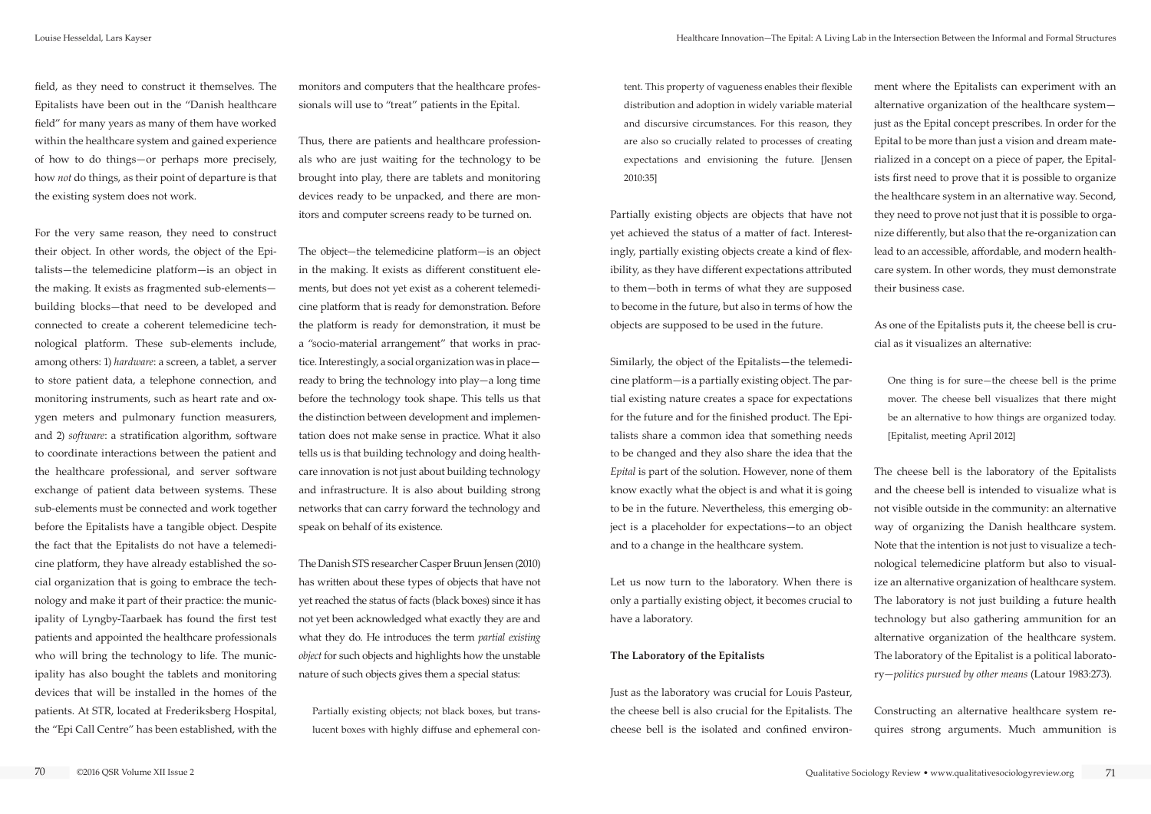field, as they need to construct it themselves. The Epitalists have been out in the "Danish healthcare field" for many years as many of them have worked within the healthcare system and gained experience of how to do things—or perhaps more precisely, how *not* do things, as their point of departure is that the existing system does not work.

For the very same reason, they need to construct their object. In other words, the object of the Epitalists—the telemedicine platform—is an object in the making. It exists as fragmented sub-elements building blocks—that need to be developed and connected to create a coherent telemedicine technological platform. These sub-elements include, among others: 1) *hardware*: a screen, a tablet, a server to store patient data, a telephone connection, and monitoring instruments, such as heart rate and oxygen meters and pulmonary function measurers, and 2) *software*: a stratification algorithm, software to coordinate interactions between the patient and the healthcare professional, and server software exchange of patient data between systems. These sub-elements must be connected and work together before the Epitalists have a tangible object. Despite the fact that the Epitalists do not have a telemedicine platform, they have already established the social organization that is going to embrace the technology and make it part of their practice: the municipality of Lyngby-Taarbaek has found the first test patients and appointed the healthcare professionals who will bring the technology to life. The municipality has also bought the tablets and monitoring devices that will be installed in the homes of the patients. At STR, located at Frederiksberg Hospital, the "Epi Call Centre" has been established, with the

monitors and computers that the healthcare professionals will use to "treat" patients in the Epital.

Thus, there are patients and healthcare professionals who are just waiting for the technology to be brought into play, there are tablets and monitoring devices ready to be unpacked, and there are monitors and computer screens ready to be turned on.

The object—the telemedicine platform—is an object in the making. It exists as different constituent elements, but does not yet exist as a coherent telemedicine platform that is ready for demonstration. Before the platform is ready for demonstration, it must be a "socio-material arrangement" that works in practice. Interestingly, a social organization was in place ready to bring the technology into play—a long time before the technology took shape. This tells us that the distinction between development and implementation does not make sense in practice. What it also tells us is that building technology and doing healthcare innovation is not just about building technology and infrastructure. It is also about building strong networks that can carry forward the technology and speak on behalf of its existence.

The Danish STS researcher Casper Bruun Jensen (2010) has written about these types of objects that have not yet reached the status of facts (black boxes) since it has not yet been acknowledged what exactly they are and what they do. He introduces the term *partial existing object* for such objects and highlights how the unstable nature of such objects gives them a special status:

Partially existing objects; not black boxes, but translucent boxes with highly diffuse and ephemeral content. This property of vagueness enables their flexible distribution and adoption in widely variable material and discursive circumstances. For this reason, they are also so crucially related to processes of creating expectations and envisioning the future. [Jensen 2010:35]

Partially existing objects are objects that have not yet achieved the status of a matter of fact. Interestingly, partially existing objects create a kind of flexibility, as they have different expectations attributed to them—both in terms of what they are supposed to become in the future, but also in terms of how the objects are supposed to be used in the future.

Similarly, the object of the Epitalists—the telemedicine platform—is a partially existing object. The partial existing nature creates a space for expectations for the future and for the finished product. The Epitalists share a common idea that something needs to be changed and they also share the idea that the *Epital* is part of the solution. However, none of them know exactly what the object is and what it is going to be in the future. Nevertheless, this emerging object is a placeholder for expectations—to an object and to a change in the healthcare system.

Let us now turn to the laboratory. When there is only a partially existing object, it becomes crucial to have a laboratory.

#### **The Laboratory of the Epitalists**

Just as the laboratory was crucial for Louis Pasteur, the cheese bell is also crucial for the Epitalists. The cheese bell is the isolated and confined environ-

ment where the Epitalists can experiment with an alternative organization of the healthcare system just as the Epital concept prescribes. In order for the Epital to be more than just a vision and dream materialized in a concept on a piece of paper, the Epitalists first need to prove that it is possible to organize the healthcare system in an alternative way. Second, they need to prove not just that it is possible to organize differently, but also that the re-organization can lead to an accessible, affordable, and modern healthcare system. In other words, they must demonstrate their business case.

As one of the Epitalists puts it, the cheese bell is crucial as it visualizes an alternative:

One thing is for sure—the cheese bell is the prime mover. The cheese bell visualizes that there might be an alternative to how things are organized today. [Epitalist, meeting April 2012]

The cheese bell is the laboratory of the Epitalists and the cheese bell is intended to visualize what is not visible outside in the community: an alternative way of organizing the Danish healthcare system. Note that the intention is not just to visualize a technological telemedicine platform but also to visualize an alternative organization of healthcare system. The laboratory is not just building a future health technology but also gathering ammunition for an alternative organization of the healthcare system. The laboratory of the Epitalist is a political laboratory—*politics pursued by other means* (Latour 1983:273).

Constructing an alternative healthcare system requires strong arguments. Much ammunition is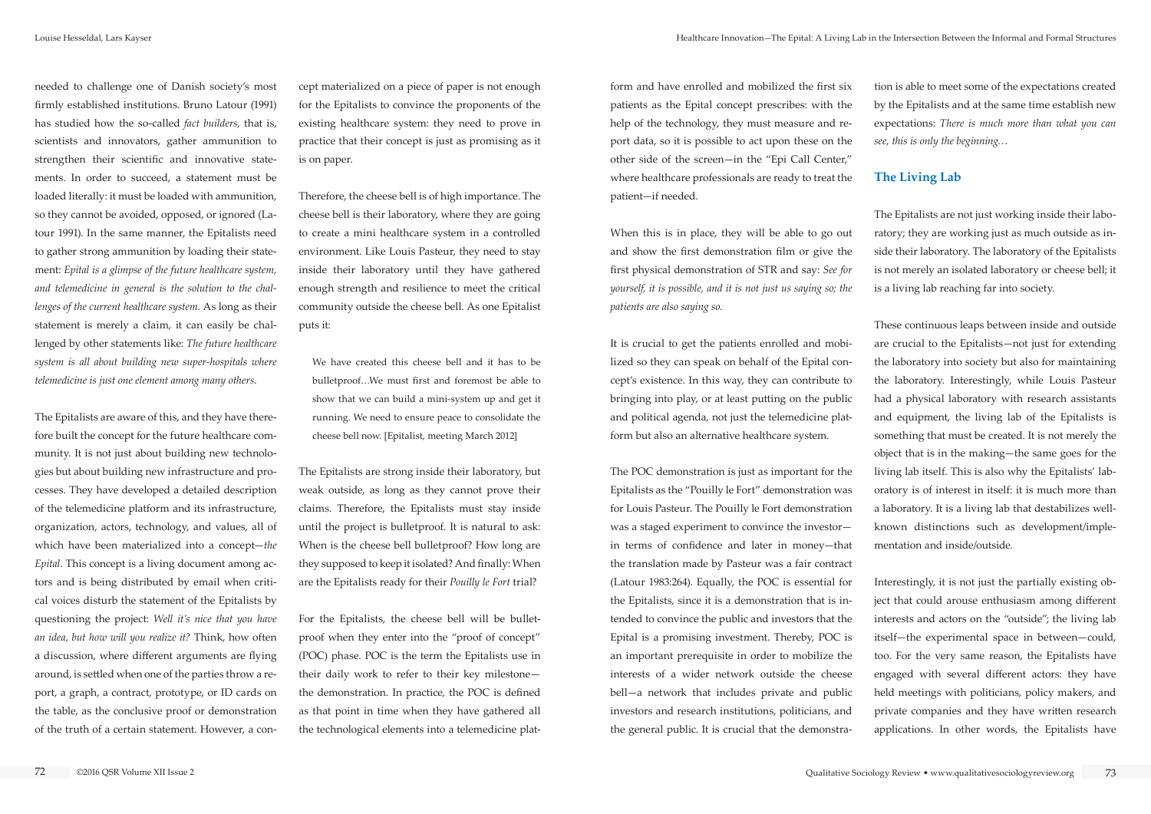needed to challenge one of Danish society's most firmly established institutions. Bruno Latour (1991) has studied how the so-called *fact builders*, that is, scientists and innovators, gather ammunition to strengthen their scientific and innovative statements. In order to succeed, a statement must be loaded literally: it must be loaded with ammunition, so they cannot be avoided, opposed, or ignored (Latour 1991). In the same manner, the Epitalists need to gather strong ammunition by loading their statement: *Epital is a glimpse of the future healthcare system, and telemedicine in general is the solution to the challenges of the current healthcare system*. As long as their statement is merely a claim, it can easily be challenged by other statements like: *The future healthcare system is all about building new super-hospitals where telemedicine is just one element among many others*.

The Epitalists are aware of this, and they have therefore built the concept for the future healthcare community. It is not just about building new technologies but about building new infrastructure and processes. They have developed a detailed description of the telemedicine platform and its infrastructure, organization, actors, technology, and values, all of which have been materialized into a concept—*the Epital*. This concept is a living document among actors and is being distributed by email when critical voices disturb the statement of the Epitalists by questioning the project: *Well it's nice that you have an idea, but how will you realize it?* Think, how often a discussion, where different arguments are flying around, is settled when one of the parties throw a report, a graph, a contract, prototype, or ID cards on the table, as the conclusive proof or demonstration of the truth of a certain statement. However, a concept materialized on a piece of paper is not enough for the Epitalists to convince the proponents of the existing healthcare system: they need to prove in practice that their concept is just as promising as it is on paper.

Therefore, the cheese bell is of high importance. The cheese bell is their laboratory, where they are going to create a mini healthcare system in a controlled environment. Like Louis Pasteur, they need to stay inside their laboratory until they have gathered enough strength and resilience to meet the critical community outside the cheese bell. As one Epitalist puts it:

We have created this cheese bell and it has to be bulletproof…We must first and foremost be able to show that we can build a mini-system up and get it running. We need to ensure peace to consolidate the cheese bell now. [Epitalist, meeting March 2012]

The Epitalists are strong inside their laboratory, but weak outside, as long as they cannot prove their claims. Therefore, the Epitalists must stay inside until the project is bulletproof. It is natural to ask: When is the cheese bell bulletproof? How long are they supposed to keep it isolated? And finally: When are the Epitalists ready for their *Pouilly le Fort* trial?

For the Epitalists, the cheese bell will be bulletproof when they enter into the "proof of concept" (POC) phase. POC is the term the Epitalists use in their daily work to refer to their key milestone the demonstration. In practice, the POC is defined as that point in time when they have gathered all the technological elements into a telemedicine platform and have enrolled and mobilized the first six patients as the Epital concept prescribes: with the help of the technology, they must measure and report data, so it is possible to act upon these on the other side of the screen—in the "Epi Call Center," where healthcare professionals are ready to treat the patient—if needed.

When this is in place, they will be able to go out and show the first demonstration film or give the first physical demonstration of STR and say: *See for yourself, it is possible, and it is not just us saying so; the patients are also saying so*.

It is crucial to get the patients enrolled and mobilized so they can speak on behalf of the Epital concept's existence. In this way, they can contribute to bringing into play, or at least putting on the public and political agenda, not just the telemedicine platform but also an alternative healthcare system.

The POC demonstration is just as important for the Epitalists as the "Pouilly le Fort" demonstration was for Louis Pasteur. The Pouilly le Fort demonstration was a staged experiment to convince the investor in terms of confidence and later in money—that the translation made by Pasteur was a fair contract (Latour 1983:264). Equally, the POC is essential for the Epitalists, since it is a demonstration that is intended to convince the public and investors that the Epital is a promising investment. Thereby, POC is an important prerequisite in order to mobilize the interests of a wider network outside the cheese bell—a network that includes private and public investors and research institutions, politicians, and the general public. It is crucial that the demonstra-

tion is able to meet some of the expectations created by the Epitalists and at the same time establish new expectations: *There is much more than what you can see, this is only the beginning*…

### **The Living Lab**

The Epitalists are not just working inside their laboratory; they are working just as much outside as inside their laboratory. The laboratory of the Epitalists is not merely an isolated laboratory or cheese bell; it is a living lab reaching far into society.

These continuous leaps between inside and outside are crucial to the Epitalists—not just for extending the laboratory into society but also for maintaining the laboratory. Interestingly, while Louis Pasteur had a physical laboratory with research assistants and equipment, the living lab of the Epitalists is something that must be created. It is not merely the object that is in the making—the same goes for the living lab itself. This is also why the Epitalists' laboratory is of interest in itself: it is much more than a laboratory. It is a living lab that destabilizes wellknown distinctions such as development/implementation and inside/outside.

Interestingly, it is not just the partially existing object that could arouse enthusiasm among different interests and actors on the "outside"; the living lab itself—the experimental space in between—could, too. For the very same reason, the Epitalists have engaged with several different actors: they have held meetings with politicians, policy makers, and private companies and they have written research applications. In other words, the Epitalists have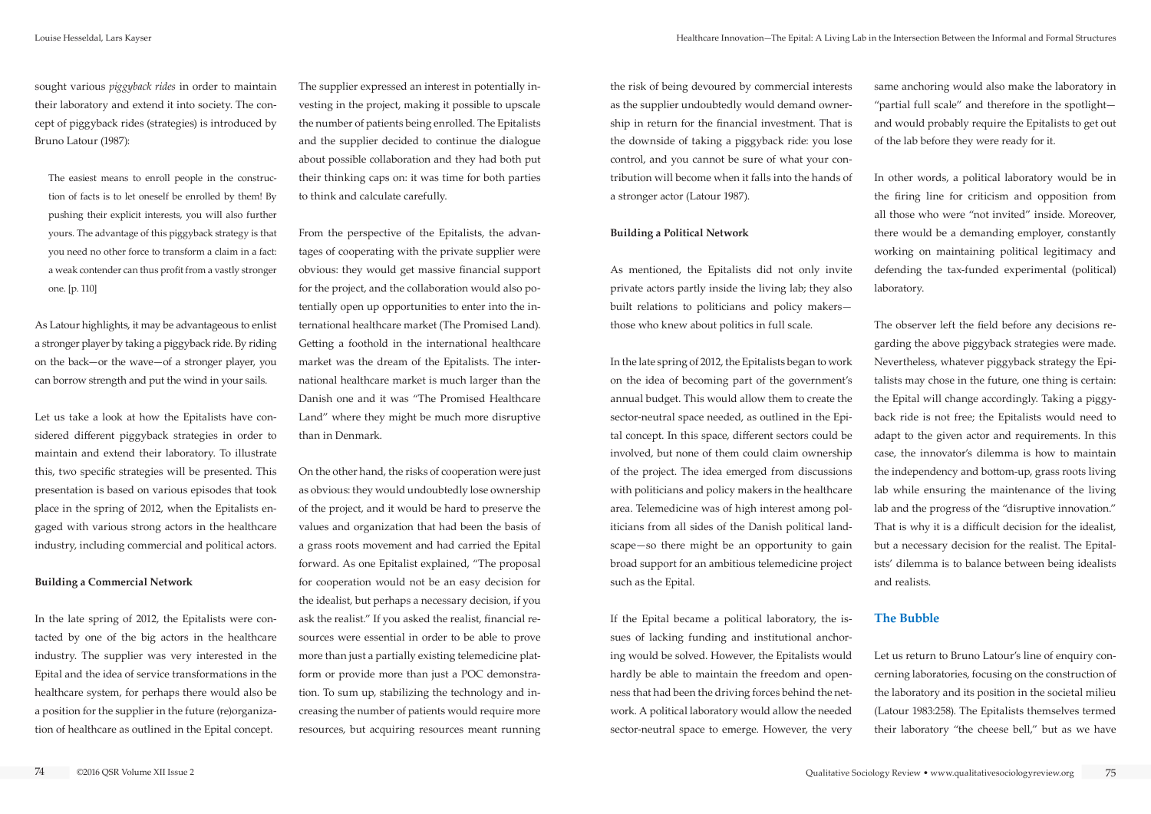sought various *piggyback rides* in order to maintain their laboratory and extend it into society. The concept of piggyback rides (strategies) is introduced by Bruno Latour (1987):

The easiest means to enroll people in the construction of facts is to let oneself be enrolled by them! By pushing their explicit interests, you will also further yours. The advantage of this piggyback strategy is that you need no other force to transform a claim in a fact: a weak contender can thus profit from a vastly stronger one. [p. 110]

As Latour highlights, it may be advantageous to enlist a stronger player by taking a piggyback ride. By riding on the back—or the wave—of a stronger player, you can borrow strength and put the wind in your sails.

Let us take a look at how the Epitalists have considered different piggyback strategies in order to maintain and extend their laboratory. To illustrate this, two specific strategies will be presented. This presentation is based on various episodes that took place in the spring of 2012, when the Epitalists engaged with various strong actors in the healthcare industry, including commercial and political actors.

#### **Building a Commercial Network**

In the late spring of 2012, the Epitalists were contacted by one of the big actors in the healthcare industry. The supplier was very interested in the Epital and the idea of service transformations in the healthcare system, for perhaps there would also be a position for the supplier in the future (re)organization of healthcare as outlined in the Epital concept.

The supplier expressed an interest in potentially investing in the project, making it possible to upscale the number of patients being enrolled. The Epitalists and the supplier decided to continue the dialogue about possible collaboration and they had both put their thinking caps on: it was time for both parties to think and calculate carefully.

From the perspective of the Epitalists, the advantages of cooperating with the private supplier were obvious: they would get massive financial support for the project, and the collaboration would also potentially open up opportunities to enter into the international healthcare market (The Promised Land). Getting a foothold in the international healthcare market was the dream of the Epitalists. The international healthcare market is much larger than the Danish one and it was "The Promised Healthcare Land" where they might be much more disruptive than in Denmark.

On the other hand, the risks of cooperation were just as obvious: they would undoubtedly lose ownership of the project, and it would be hard to preserve the values and organization that had been the basis of a grass roots movement and had carried the Epital forward. As one Epitalist explained, "The proposal for cooperation would not be an easy decision for the idealist, but perhaps a necessary decision, if you ask the realist." If you asked the realist, financial resources were essential in order to be able to prove more than just a partially existing telemedicine platform or provide more than just a POC demonstration. To sum up, stabilizing the technology and increasing the number of patients would require more resources, but acquiring resources meant running

the risk of being devoured by commercial interests as the supplier undoubtedly would demand ownership in return for the financial investment. That is the downside of taking a piggyback ride: you lose control, and you cannot be sure of what your contribution will become when it falls into the hands of a stronger actor (Latour 1987).

#### **Building a Political Network**

As mentioned, the Epitalists did not only invite private actors partly inside the living lab; they also built relations to politicians and policy makers those who knew about politics in full scale.

In the late spring of 2012, the Epitalists began to work on the idea of becoming part of the government's annual budget. This would allow them to create the sector-neutral space needed, as outlined in the Epital concept. In this space, different sectors could be involved, but none of them could claim ownership of the project. The idea emerged from discussions with politicians and policy makers in the healthcare area. Telemedicine was of high interest among politicians from all sides of the Danish political landscape—so there might be an opportunity to gain broad support for an ambitious telemedicine project such as the Epital.

If the Epital became a political laboratory, the issues of lacking funding and institutional anchoring would be solved. However, the Epitalists would hardly be able to maintain the freedom and openness that had been the driving forces behind the network. A political laboratory would allow the needed sector-neutral space to emerge. However, the very

same anchoring would also make the laboratory in "partial full scale" and therefore in the spotlight and would probably require the Epitalists to get out of the lab before they were ready for it.

In other words, a political laboratory would be in the firing line for criticism and opposition from all those who were "not invited" inside. Moreover, there would be a demanding employer, constantly working on maintaining political legitimacy and defending the tax-funded experimental (political) laboratory.

The observer left the field before any decisions regarding the above piggyback strategies were made. Nevertheless, whatever piggyback strategy the Epitalists may chose in the future, one thing is certain: the Epital will change accordingly. Taking a piggyback ride is not free; the Epitalists would need to adapt to the given actor and requirements. In this case, the innovator's dilemma is how to maintain the independency and bottom-up, grass roots living lab while ensuring the maintenance of the living lab and the progress of the "disruptive innovation." That is why it is a difficult decision for the idealist, but a necessary decision for the realist. The Epitalists' dilemma is to balance between being idealists and realists.

# **The Bubble**

Let us return to Bruno Latour's line of enquiry concerning laboratories, focusing on the construction of the laboratory and its position in the societal milieu (Latour 1983:258). The Epitalists themselves termed their laboratory "the cheese bell," but as we have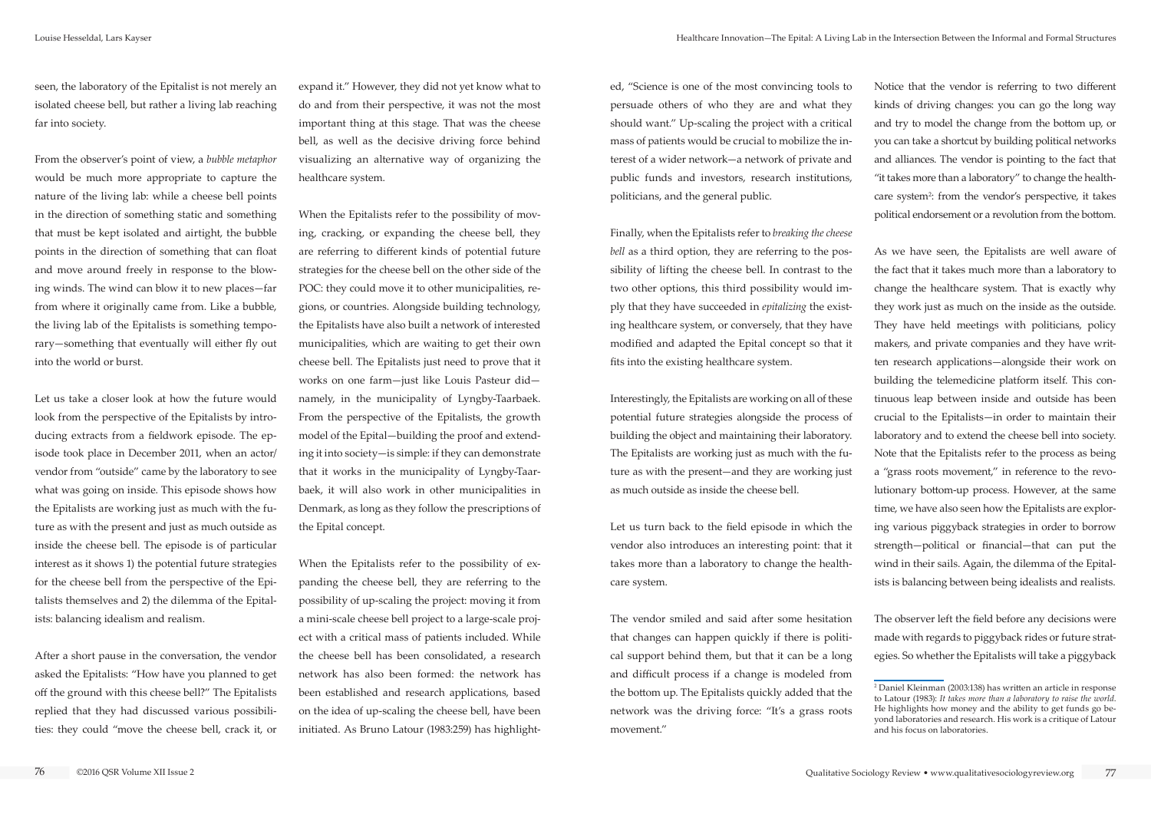seen, the laboratory of the Epitalist is not merely an isolated cheese bell, but rather a living lab reaching far into society.

From the observer's point of view, a *bubble metaphor* would be much more appropriate to capture the nature of the living lab: while a cheese bell points in the direction of something static and something that must be kept isolated and airtight, the bubble points in the direction of something that can float and move around freely in response to the blowing winds. The wind can blow it to new places—far from where it originally came from. Like a bubble, the living lab of the Epitalists is something temporary—something that eventually will either fly out into the world or burst.

Let us take a closer look at how the future would look from the perspective of the Epitalists by introducing extracts from a fieldwork episode. The episode took place in December 2011, when an actor/ vendor from "outside" came by the laboratory to see what was going on inside. This episode shows how the Epitalists are working just as much with the future as with the present and just as much outside as inside the cheese bell. The episode is of particular interest as it shows 1) the potential future strategies for the cheese bell from the perspective of the Epitalists themselves and 2) the dilemma of the Epitalists: balancing idealism and realism.

After a short pause in the conversation, the vendor asked the Epitalists: "How have you planned to get off the ground with this cheese bell?" The Epitalists replied that they had discussed various possibilities: they could "move the cheese bell, crack it, or

expand it." However, they did not yet know what to do and from their perspective, it was not the most important thing at this stage. That was the cheese bell, as well as the decisive driving force behind visualizing an alternative way of organizing the healthcare system.

When the Epitalists refer to the possibility of moving, cracking, or expanding the cheese bell, they are referring to different kinds of potential future strategies for the cheese bell on the other side of the POC: they could move it to other municipalities, regions, or countries. Alongside building technology, the Epitalists have also built a network of interested municipalities, which are waiting to get their own cheese bell. The Epitalists just need to prove that it works on one farm—just like Louis Pasteur did namely, in the municipality of Lyngby-Taarbaek. From the perspective of the Epitalists, the growth model of the Epital—building the proof and extending it into society—is simple: if they can demonstrate that it works in the municipality of Lyngby-Taarbaek, it will also work in other municipalities in Denmark, as long as they follow the prescriptions of the Epital concept.

When the Epitalists refer to the possibility of expanding the cheese bell, they are referring to the possibility of up-scaling the project: moving it from a mini-scale cheese bell project to a large-scale project with a critical mass of patients included. While the cheese bell has been consolidated, a research network has also been formed: the network has been established and research applications, based on the idea of up-scaling the cheese bell, have been initiated. As Bruno Latour (1983:259) has highlighted, "Science is one of the most convincing tools to persuade others of who they are and what they should want." Up-scaling the project with a critical mass of patients would be crucial to mobilize the interest of a wider network—a network of private and public funds and investors, research institutions, politicians, and the general public.

Finally, when the Epitalists refer to *breaking the cheese bell* as a third option, they are referring to the possibility of lifting the cheese bell. In contrast to the two other options, this third possibility would imply that they have succeeded in *epitalizing* the existing healthcare system, or conversely, that they have modified and adapted the Epital concept so that it fits into the existing healthcare system.

Interestingly, the Epitalists are working on all of these potential future strategies alongside the process of building the object and maintaining their laboratory. The Epitalists are working just as much with the future as with the present—and they are working just as much outside as inside the cheese bell.

Let us turn back to the field episode in which the vendor also introduces an interesting point: that it takes more than a laboratory to change the healthcare system.

The vendor smiled and said after some hesitation that changes can happen quickly if there is political support behind them, but that it can be a long and difficult process if a change is modeled from the bottom up. The Epitalists quickly added that the network was the driving force: "It's a grass roots movement."

Notice that the vendor is referring to two different kinds of driving changes: you can go the long way and try to model the change from the bottom up, or you can take a shortcut by building political networks and alliances. The vendor is pointing to the fact that "it takes more than a laboratory" to change the healthcare system<sup>2</sup>: from the vendor's perspective, it takes political endorsement or a revolution from the bottom.

As we have seen, the Epitalists are well aware of the fact that it takes much more than a laboratory to change the healthcare system. That is exactly why they work just as much on the inside as the outside. They have held meetings with politicians, policy makers, and private companies and they have written research applications—alongside their work on building the telemedicine platform itself. This continuous leap between inside and outside has been crucial to the Epitalists—in order to maintain their laboratory and to extend the cheese bell into society. Note that the Epitalists refer to the process as being a "grass roots movement," in reference to the revolutionary bottom-up process. However, at the same time, we have also seen how the Epitalists are exploring various piggyback strategies in order to borrow strength—political or financial—that can put the wind in their sails. Again, the dilemma of the Epitalists is balancing between being idealists and realists.

The observer left the field before any decisions were made with regards to piggyback rides or future strategies. So whether the Epitalists will take a piggyback

<sup>2</sup> Daniel Kleinman (2003:138) has written an article in response to Latour (1983): *It takes more than a laboratory to raise the world*. He highlights how money and the ability to get funds go beyond laboratories and research. His work is a critique of Latour and his focus on laboratories.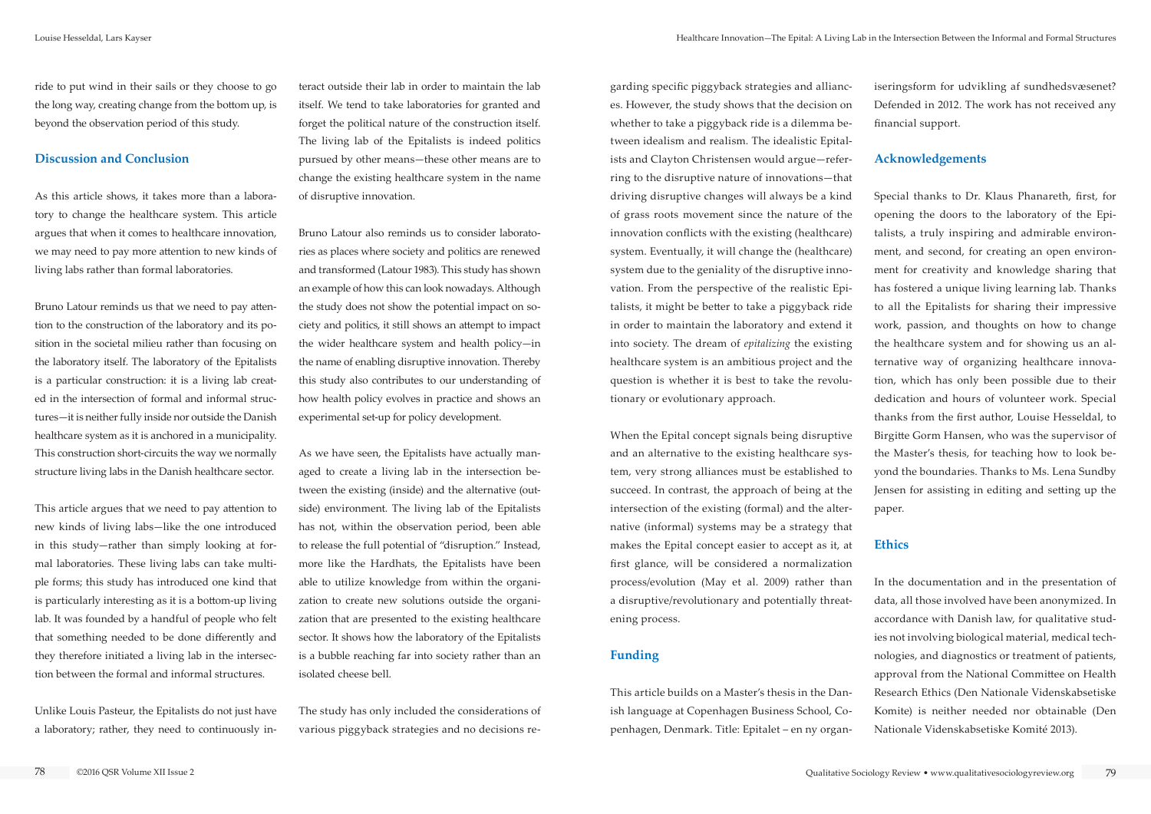ride to put wind in their sails or they choose to go the long way, creating change from the bottom up, is beyond the observation period of this study.

### **Discussion and Conclusion**

As this article shows, it takes more than a laboratory to change the healthcare system. This article argues that when it comes to healthcare innovation, we may need to pay more attention to new kinds of living labs rather than formal laboratories.

Bruno Latour reminds us that we need to pay attention to the construction of the laboratory and its position in the societal milieu rather than focusing on the laboratory itself. The laboratory of the Epitalists is a particular construction: it is a living lab created in the intersection of formal and informal structures—it is neither fully inside nor outside the Danish healthcare system as it is anchored in a municipality. This construction short-circuits the way we normally structure living labs in the Danish healthcare sector.

This article argues that we need to pay attention to new kinds of living labs—like the one introduced in this study—rather than simply looking at formal laboratories. These living labs can take multiple forms; this study has introduced one kind that is particularly interesting as it is a bottom-up living lab. It was founded by a handful of people who felt that something needed to be done differently and they therefore initiated a living lab in the intersection between the formal and informal structures.

Unlike Louis Pasteur, the Epitalists do not just have a laboratory; rather, they need to continuously in-

teract outside their lab in order to maintain the lab itself. We tend to take laboratories for granted and forget the political nature of the construction itself. The living lab of the Epitalists is indeed politics pursued by other means—these other means are to change the existing healthcare system in the name of disruptive innovation.

Bruno Latour also reminds us to consider laboratories as places where society and politics are renewed and transformed (Latour 1983). This study has shown an example of how this can look nowadays. Although the study does not show the potential impact on society and politics, it still shows an attempt to impact the wider healthcare system and health policy—in the name of enabling disruptive innovation. Thereby this study also contributes to our understanding of how health policy evolves in practice and shows an experimental set-up for policy development.

As we have seen, the Epitalists have actually managed to create a living lab in the intersection between the existing (inside) and the alternative (outside) environment. The living lab of the Epitalists has not, within the observation period, been able to release the full potential of "disruption." Instead, more like the Hardhats, the Epitalists have been able to utilize knowledge from within the organization to create new solutions outside the organization that are presented to the existing healthcare sector. It shows how the laboratory of the Epitalists is a bubble reaching far into society rather than an isolated cheese bell.

The study has only included the considerations of various piggyback strategies and no decisions regarding specific piggyback strategies and alliances. However, the study shows that the decision on whether to take a piggyback ride is a dilemma between idealism and realism. The idealistic Epitalists and Clayton Christensen would argue—referring to the disruptive nature of innovations—that driving disruptive changes will always be a kind of grass roots movement since the nature of the innovation conflicts with the existing (healthcare) system. Eventually, it will change the (healthcare) system due to the geniality of the disruptive innovation. From the perspective of the realistic Epitalists, it might be better to take a piggyback ride in order to maintain the laboratory and extend it into society. The dream of *epitalizing* the existing healthcare system is an ambitious project and the question is whether it is best to take the revolutionary or evolutionary approach.

When the Epital concept signals being disruptive and an alternative to the existing healthcare system, very strong alliances must be established to succeed. In contrast, the approach of being at the intersection of the existing (formal) and the alternative (informal) systems may be a strategy that makes the Epital concept easier to accept as it, at first glance, will be considered a normalization process/evolution (May et al. 2009) rather than a disruptive/revolutionary and potentially threatening process.

### **Funding**

This article builds on a Master's thesis in the Danish language at Copenhagen Business School, Copenhagen, Denmark. Title: Epitalet – en ny organ-

iseringsform for udvikling af sundhedsvæsenet? Defended in 2012. The work has not received any financial support.

### **Acknowledgements**

Special thanks to Dr. Klaus Phanareth, first, for opening the doors to the laboratory of the Epitalists, a truly inspiring and admirable environment, and second, for creating an open environment for creativity and knowledge sharing that has fostered a unique living learning lab. Thanks to all the Epitalists for sharing their impressive work, passion, and thoughts on how to change the healthcare system and for showing us an alternative way of organizing healthcare innovation, which has only been possible due to their dedication and hours of volunteer work. Special thanks from the first author, Louise Hesseldal, to Birgitte Gorm Hansen, who was the supervisor of the Master's thesis, for teaching how to look beyond the boundaries. Thanks to Ms. Lena Sundby Jensen for assisting in editing and setting up the paper.

### **Ethics**

In the documentation and in the presentation of data, all those involved have been anonymized. In accordance with Danish law, for qualitative studies not involving biological material, medical technologies, and diagnostics or treatment of patients, approval from the National Committee on Health Research Ethics (Den Nationale Videnskabsetiske Komite) is neither needed nor obtainable (Den Nationale Videnskabsetiske Komité 2013).